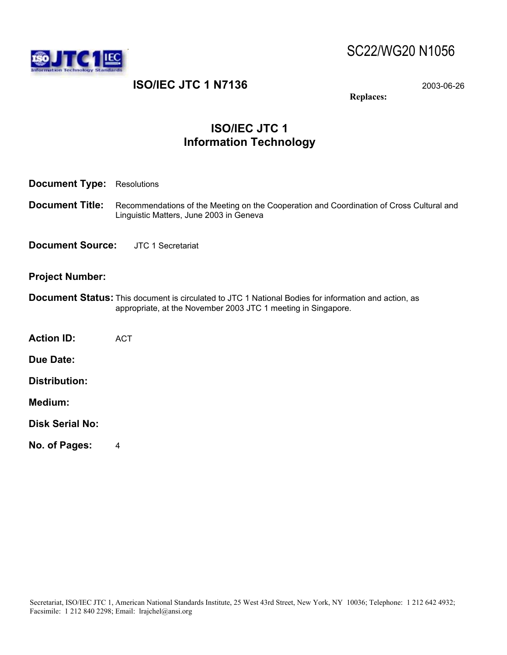



# **ISO/IEC JTC 1 N7136** 2003-06-26

**Replaces:** 

# **ISO/IEC JTC 1 Information Technology**

| <b>Document Type:</b> Resolutions         |                                                                                                                                                                              |
|-------------------------------------------|------------------------------------------------------------------------------------------------------------------------------------------------------------------------------|
| <b>Document Title:</b>                    | Recommendations of the Meeting on the Cooperation and Coordination of Cross Cultural and<br>Linguistic Matters, June 2003 in Geneva                                          |
| <b>Document Source:</b> JTC 1 Secretariat |                                                                                                                                                                              |
| <b>Project Number:</b>                    |                                                                                                                                                                              |
|                                           | <b>Document Status:</b> This document is circulated to JTC 1 National Bodies for information and action, as<br>appropriate, at the November 2003 JTC 1 meeting in Singapore. |
| <b>Action ID:</b>                         | <b>ACT</b>                                                                                                                                                                   |
| <b>Due Date:</b>                          |                                                                                                                                                                              |
| <b>Distribution:</b>                      |                                                                                                                                                                              |
| Medium:                                   |                                                                                                                                                                              |
| <b>Disk Serial No:</b>                    |                                                                                                                                                                              |
| No. of Pages:                             | 4                                                                                                                                                                            |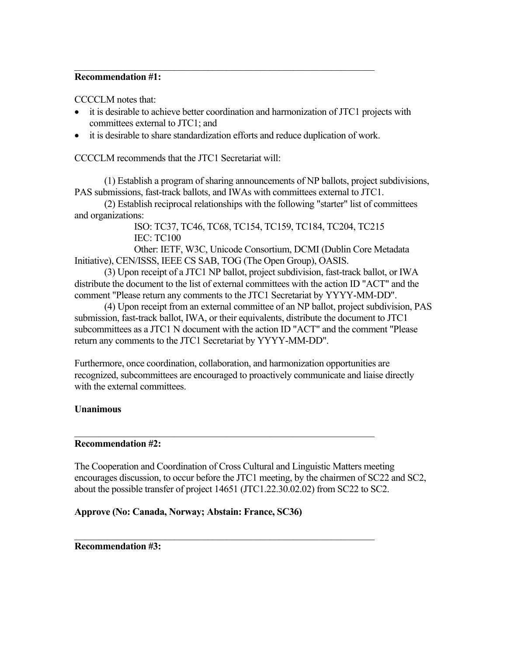#### **Recommendation #1:**

CCCCLM notes that:

- it is desirable to achieve better coordination and harmonization of JTC1 projects with committees external to JTC1; and
- it is desirable to share standardization efforts and reduce duplication of work.

 $\mathcal{L}_\text{max}$  and  $\mathcal{L}_\text{max}$  and  $\mathcal{L}_\text{max}$  and  $\mathcal{L}_\text{max}$  and  $\mathcal{L}_\text{max}$  and  $\mathcal{L}_\text{max}$ 

CCCCLM recommends that the JTC1 Secretariat will:

 (1) Establish a program of sharing announcements of NP ballots, project subdivisions, PAS submissions, fast-track ballots, and IWAs with committees external to JTC1.

 (2) Establish reciprocal relationships with the following "starter" list of committees and organizations:

> ISO: TC37, TC46, TC68, TC154, TC159, TC184, TC204, TC215 IEC: TC100

 Other: IETF, W3C, Unicode Consortium, DCMI (Dublin Core Metadata Initiative), CEN/ISSS, IEEE CS SAB, TOG (The Open Group), OASIS.

 (3) Upon receipt of a JTC1 NP ballot, project subdivision, fast-track ballot, or IWA distribute the document to the list of external committees with the action ID "ACT" and the comment "Please return any comments to the JTC1 Secretariat by YYYY-MM-DD".

 (4) Upon receipt from an external committee of an NP ballot, project subdivision, PAS submission, fast-track ballot, IWA, or their equivalents, distribute the document to JTC1 subcommittees as a JTC1 N document with the action ID "ACT" and the comment "Please return any comments to the JTC1 Secretariat by YYYY-MM-DD".

Furthermore, once coordination, collaboration, and harmonization opportunities are recognized, subcommittees are encouraged to proactively communicate and liaise directly with the external committees.

 $\mathcal{L}_\text{max} = \frac{1}{2} \sum_{i=1}^n \mathcal{L}_\text{max}(\mathcal{L}_i - \mathcal{L}_i)$ 

 $\mathcal{L}_\text{max} = \frac{1}{2} \sum_{i=1}^n \mathcal{L}_\text{max}(\mathcal{L}_i - \mathcal{L}_i)$ 

#### **Unanimous**

#### **Recommendation #2:**

The Cooperation and Coordination of Cross Cultural and Linguistic Matters meeting encourages discussion, to occur before the JTC1 meeting, by the chairmen of SC22 and SC2, about the possible transfer of project 14651 (JTC1.22.30.02.02) from SC22 to SC2.

#### **Approve (No: Canada, Norway; Abstain: France, SC36)**

**Recommendation #3:**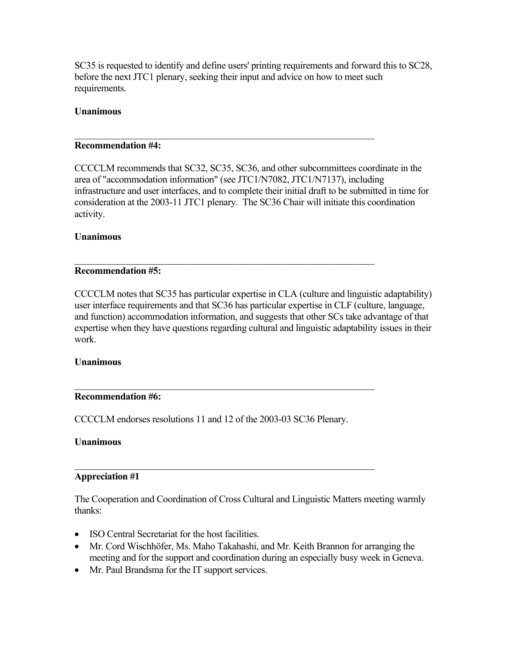SC35 is requested to identify and define users' printing requirements and forward this to SC28, before the next JTC1 plenary, seeking their input and advice on how to meet such requirements.

### **Unanimous**

#### **Recommendation #4:**

CCCCLM recommends that SC32, SC35, SC36, and other subcommittees coordinate in the area of "accommodation information" (see JTC1/N7082, JTC1/N7137), including infrastructure and user interfaces, and to complete their initial draft to be submitted in time for consideration at the 2003-11 JTC1 plenary. The SC36 Chair will initiate this coordination activity.

 $\mathcal{L}_\text{max}$  and  $\mathcal{L}_\text{max}$  and  $\mathcal{L}_\text{max}$  and  $\mathcal{L}_\text{max}$  and  $\mathcal{L}_\text{max}$  and  $\mathcal{L}_\text{max}$ 

 $\mathcal{L}_\text{max}$  and  $\mathcal{L}_\text{max}$  and  $\mathcal{L}_\text{max}$  and  $\mathcal{L}_\text{max}$  and  $\mathcal{L}_\text{max}$  and  $\mathcal{L}_\text{max}$ 

#### **Unanimous**

#### **Recommendation #5:**

CCCCLM notes that SC35 has particular expertise in CLA (culture and linguistic adaptability) user interface requirements and that SC36 has particular expertise in CLF (culture, language, and function) accommodation information, and suggests that other SCs take advantage of that expertise when they have questions regarding cultural and linguistic adaptability issues in their work.

#### **Unanimous**

#### **Recommendation #6:**

CCCCLM endorses resolutions 11 and 12 of the 2003-03 SC36 Plenary.

 $\mathcal{L}_\text{max} = \frac{1}{2} \sum_{i=1}^n \mathcal{L}_\text{max}(\mathcal{L}_i - \mathcal{L}_i)$ 

 $\mathcal{L}_\text{max}$  and  $\mathcal{L}_\text{max}$  and  $\mathcal{L}_\text{max}$  and  $\mathcal{L}_\text{max}$  and  $\mathcal{L}_\text{max}$  and  $\mathcal{L}_\text{max}$ 

#### **Unanimous**

#### **Appreciation #1**

The Cooperation and Coordination of Cross Cultural and Linguistic Matters meeting warmly thanks:

- ISO Central Secretariat for the host facilities.
- Mr. Cord Wischhöfer, Ms. Maho Takahashi, and Mr. Keith Brannon for arranging the meeting and for the support and coordination during an especially busy week in Geneva.
- Mr. Paul Brandsma for the IT support services.